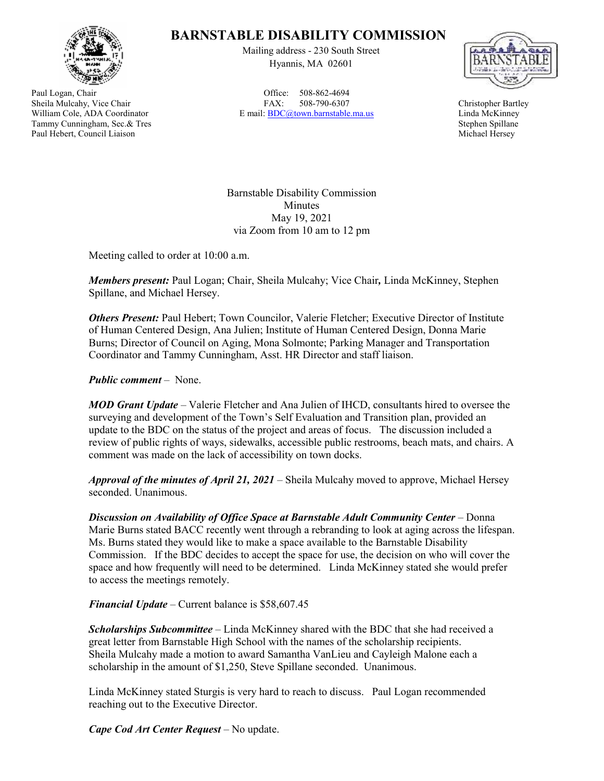

Paul Logan, Chair Sheila Mulcahy, Vice Chair William Cole, ADA Coordinator Tammy Cunningham, Sec.& Tres Paul Hebert, Council Liaison

## **BARNSTABLE DISABILITY COMMISSION**

Mailing address - 230 South Street Hyannis, MA 02601

Office: 508-862-4694 FAX: 508-790-6307 E mail: BDC@town.barnstable.ma.us



Christopher Bartley Linda McKinney Stephen Spillane Michael Hersey

Barnstable Disability Commission Minutes May 19, 2021 via Zoom from 10 am to 12 pm

Meeting called to order at 10:00 a.m.

*Members present:* Paul Logan; Chair, Sheila Mulcahy; Vice Chair*,* Linda McKinney, Stephen Spillane, and Michael Hersey.

*Others Present:* Paul Hebert; Town Councilor, Valerie Fletcher; Executive Director of Institute of Human Centered Design, Ana Julien; Institute of Human Centered Design, Donna Marie Burns; Director of Council on Aging, Mona Solmonte; Parking Manager and Transportation Coordinator and Tammy Cunningham, Asst. HR Director and staff liaison.

*Public comment* – None.

*MOD Grant Update* – Valerie Fletcher and Ana Julien of IHCD, consultants hired to oversee the surveying and development of the Town's Self Evaluation and Transition plan, provided an update to the BDC on the status of the project and areas of focus. The discussion included a review of public rights of ways, sidewalks, accessible public restrooms, beach mats, and chairs. A comment was made on the lack of accessibility on town docks.

*Approval of the minutes of April 21, 2021* – Sheila Mulcahy moved to approve, Michael Hersey seconded. Unanimous.

*Discussion on Availability of Office Space at Barnstable Adult Community Center* – Donna Marie Burns stated BACC recently went through a rebranding to look at aging across the lifespan. Ms. Burns stated they would like to make a space available to the Barnstable Disability Commission. If the BDC decides to accept the space for use, the decision on who will cover the space and how frequently will need to be determined. Linda McKinney stated she would prefer to access the meetings remotely.

*Financial Update* – Current balance is \$58,607.45

*Scholarships Subcommittee* – Linda McKinney shared with the BDC that she had received a great letter from Barnstable High School with the names of the scholarship recipients. Sheila Mulcahy made a motion to award Samantha VanLieu and Cayleigh Malone each a scholarship in the amount of \$1,250, Steve Spillane seconded. Unanimous.

Linda McKinney stated Sturgis is very hard to reach to discuss. Paul Logan recommended reaching out to the Executive Director.

*Cape Cod Art Center Request* – No update.